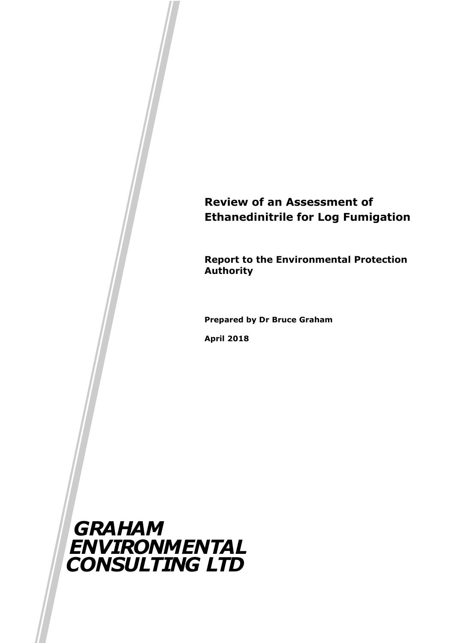# **Review of an Assessment of Ethanedinitrile for Log Fumigation**

**Report to the Environmental Protection Authority** 

**Prepared by Dr Bruce Graham** 

**April 2018**

*CONSULTING LTD GRAHAM ENVIRONMENTAL*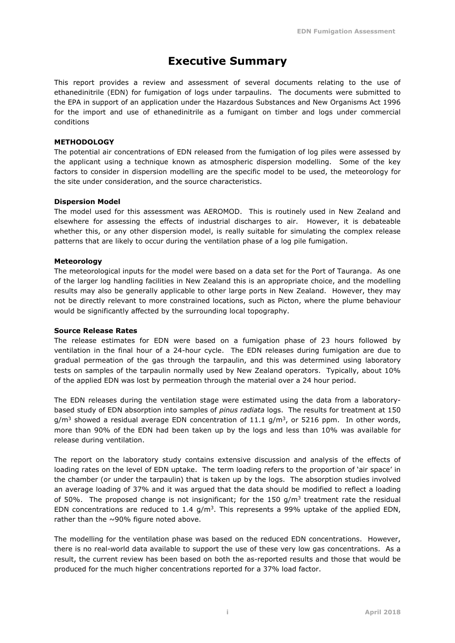# **Executive Summary**

This report provides a review and assessment of several documents relating to the use of ethanedinitrile (EDN) for fumigation of logs under tarpaulins. The documents were submitted to the EPA in support of an application under the Hazardous Substances and New Organisms Act 1996 for the import and use of ethanedinitrile as a fumigant on timber and logs under commercial conditions

#### **METHODOLOGY**

The potential air concentrations of EDN released from the fumigation of log piles were assessed by the applicant using a technique known as atmospheric dispersion modelling. Some of the key factors to consider in dispersion modelling are the specific model to be used, the meteorology for the site under consideration, and the source characteristics.

#### **Dispersion Model**

The model used for this assessment was AEROMOD. This is routinely used in New Zealand and elsewhere for assessing the effects of industrial discharges to air. However, it is debateable whether this, or any other dispersion model, is really suitable for simulating the complex release patterns that are likely to occur during the ventilation phase of a log pile fumigation.

#### **Meteorology**

The meteorological inputs for the model were based on a data set for the Port of Tauranga. As one of the larger log handling facilities in New Zealand this is an appropriate choice, and the modelling results may also be generally applicable to other large ports in New Zealand. However, they may not be directly relevant to more constrained locations, such as Picton, where the plume behaviour would be significantly affected by the surrounding local topography.

#### **Source Release Rates**

The release estimates for EDN were based on a fumigation phase of 23 hours followed by ventilation in the final hour of a 24-hour cycle. The EDN releases during fumigation are due to gradual permeation of the gas through the tarpaulin, and this was determined using laboratory tests on samples of the tarpaulin normally used by New Zealand operators. Typically, about 10% of the applied EDN was lost by permeation through the material over a 24 hour period.

The EDN releases during the ventilation stage were estimated using the data from a laboratorybased study of EDN absorption into samples of *pinus radiata* logs. The results for treatment at 150  $g/m^3$  showed a residual average EDN concentration of 11.1  $g/m^3$ , or 5216 ppm. In other words, more than 90% of the EDN had been taken up by the logs and less than 10% was available for release during ventilation.

The report on the laboratory study contains extensive discussion and analysis of the effects of loading rates on the level of EDN uptake. The term loading refers to the proportion of 'air space' in the chamber (or under the tarpaulin) that is taken up by the logs. The absorption studies involved an average loading of 37% and it was argued that the data should be modified to reflect a loading of 50%. The proposed change is not insignificant; for the 150  $g/m<sup>3</sup>$  treatment rate the residual EDN concentrations are reduced to 1.4  $g/m<sup>3</sup>$ . This represents a 99% uptake of the applied EDN, rather than the  $\sim$ 90% figure noted above.

The modelling for the ventilation phase was based on the reduced EDN concentrations. However, there is no real-world data available to support the use of these very low gas concentrations. As a result, the current review has been based on both the as-reported results and those that would be produced for the much higher concentrations reported for a 37% load factor.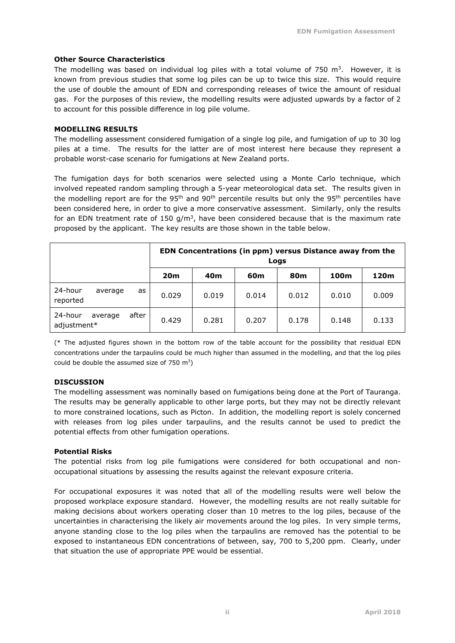#### **Other Source Characteristics**

The modelling was based on individual log piles with a total volume of 750  $\mathrm{m}^{3}$ . However, it is known from previous studies that some log piles can be up to twice this size. This would require the use of double the amount of EDN and corresponding releases of twice the amount of residual gas. For the purposes of this review, the modelling results were adjusted upwards by a factor of 2 to account for this possible difference in log pile volume.

#### **MODELLING RESULTS**

The modelling assessment considered fumigation of a single log pile, and fumigation of up to 30 log piles at a time. The results for the latter are of most interest here because they represent a probable worst-case scenario for fumigations at New Zealand ports.

The fumigation days for both scenarios were selected using a Monte Carlo technique, which involved repeated random sampling through a 5-year meteorological data set. The results given in the modelling report are for the 95<sup>th</sup> and 90<sup>th</sup> percentile results but only the 95<sup>th</sup> percentiles have been considered here, in order to give a more conservative assessment. Similarly, only the results for an EDN treatment rate of 150  $g/m<sup>3</sup>$ , have been considered because that is the maximum rate proposed by the applicant. The key results are those shown in the table below.

|                                            | EDN Concentrations (in ppm) versus Distance away from the<br>Logs |       |       |       |       |       |
|--------------------------------------------|-------------------------------------------------------------------|-------|-------|-------|-------|-------|
|                                            | 20 <sub>m</sub>                                                   | 40m   | 60m   | 80m   | 100m  | 120m  |
| 24-hour<br>average<br>as<br>reported       | 0.029                                                             | 0.019 | 0.014 | 0.012 | 0.010 | 0.009 |
| after<br>24-hour<br>average<br>adjustment* | 0.429                                                             | 0.281 | 0.207 | 0.178 | 0.148 | 0.133 |

(\* The adjusted figures shown in the bottom row of the table account for the possibility that residual EDN concentrations under the tarpaulins could be much higher than assumed in the modelling, and that the log piles could be double the assumed size of  $750 \text{ m}^3$ )

## **DISCUSSION**

The modelling assessment was nominally based on fumigations being done at the Port of Tauranga. The results may be generally applicable to other large ports, but they may not be directly relevant to more constrained locations, such as Picton. In addition, the modelling report is solely concerned with releases from log piles under tarpaulins, and the results cannot be used to predict the potential effects from other fumigation operations.

#### **Potential Risks**

The potential risks from log pile fumigations were considered for both occupational and nonoccupational situations by assessing the results against the relevant exposure criteria.

For occupational exposures it was noted that all of the modelling results were well below the proposed workplace exposure standard. However, the modelling results are not really suitable for making decisions about workers operating closer than 10 metres to the log piles, because of the uncertainties in characterising the likely air movements around the log piles. In very simple terms, anyone standing close to the log piles when the tarpaulins are removed has the potential to be exposed to instantaneous EDN concentrations of between, say, 700 to 5,200 ppm. Clearly, under that situation the use of appropriate PPE would be essential.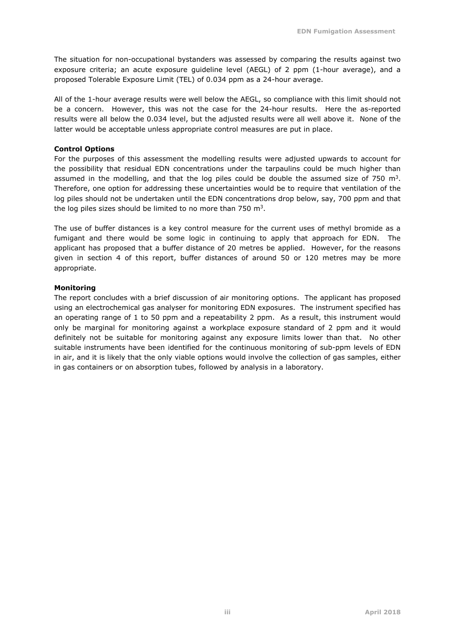The situation for non-occupational bystanders was assessed by comparing the results against two exposure criteria; an acute exposure guideline level (AEGL) of 2 ppm (1-hour average), and a proposed Tolerable Exposure Limit (TEL) of 0.034 ppm as a 24-hour average.

All of the 1-hour average results were well below the AEGL, so compliance with this limit should not be a concern. However, this was not the case for the 24-hour results. Here the as-reported results were all below the 0.034 level, but the adjusted results were all well above it. None of the latter would be acceptable unless appropriate control measures are put in place.

#### **Control Options**

For the purposes of this assessment the modelling results were adjusted upwards to account for the possibility that residual EDN concentrations under the tarpaulins could be much higher than assumed in the modelling, and that the log piles could be double the assumed size of  $750 \text{ m}^3$ . Therefore, one option for addressing these uncertainties would be to require that ventilation of the log piles should not be undertaken until the EDN concentrations drop below, say, 700 ppm and that the log piles sizes should be limited to no more than  $750 \text{ m}^3$ .

The use of buffer distances is a key control measure for the current uses of methyl bromide as a fumigant and there would be some logic in continuing to apply that approach for EDN. The applicant has proposed that a buffer distance of 20 metres be applied. However, for the reasons given in section 4 of this report, buffer distances of around 50 or 120 metres may be more appropriate.

#### **Monitoring**

The report concludes with a brief discussion of air monitoring options. The applicant has proposed using an electrochemical gas analyser for monitoring EDN exposures. The instrument specified has an operating range of 1 to 50 ppm and a repeatability 2 ppm. As a result, this instrument would only be marginal for monitoring against a workplace exposure standard of 2 ppm and it would definitely not be suitable for monitoring against any exposure limits lower than that. No other suitable instruments have been identified for the continuous monitoring of sub-ppm levels of EDN in air, and it is likely that the only viable options would involve the collection of gas samples, either in gas containers or on absorption tubes, followed by analysis in a laboratory.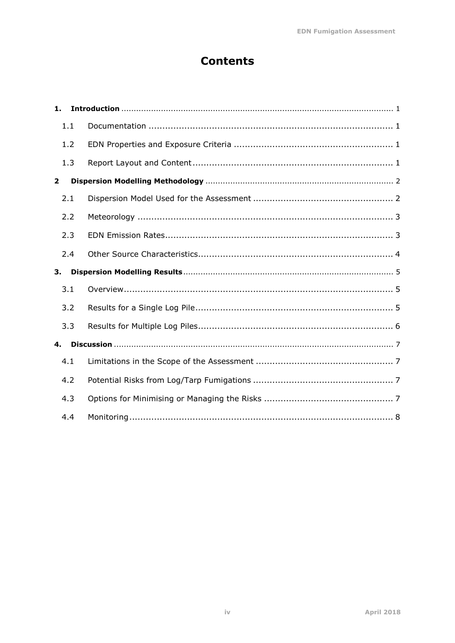# **Contents**

| 1.             |  |
|----------------|--|
| 1.1            |  |
| 1.2            |  |
| 1.3            |  |
| $\overline{2}$ |  |
| 2.1            |  |
| 2.2            |  |
| 2.3            |  |
| 2.4            |  |
|                |  |
| З.             |  |
| 3.1            |  |
| 3.2            |  |
| 3.3            |  |
| 4.             |  |
| 4.1            |  |
| 4.2            |  |
| 4.3            |  |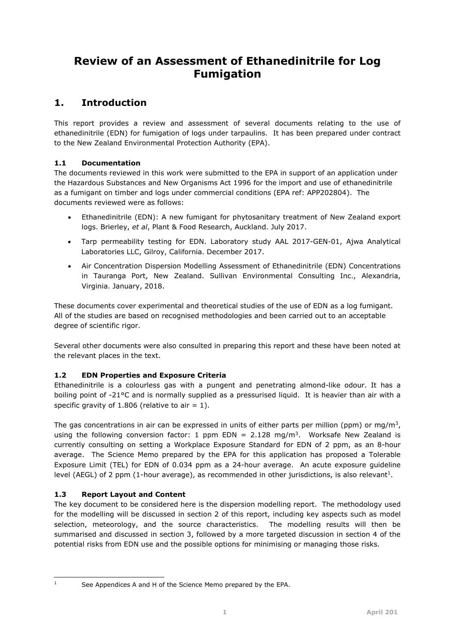# **Review of an Assessment of Ethanedinitrile for Log Fumigation**

# <span id="page-5-0"></span>**1. Introduction**

This report provides a review and assessment of several documents relating to the use of ethanedinitrile (EDN) for fumigation of logs under tarpaulins. It has been prepared under contract to the New Zealand Environmental Protection Authority (EPA).

# <span id="page-5-1"></span>**1.1 Documentation**

The documents reviewed in this work were submitted to the EPA in support of an application under the Hazardous Substances and New Organisms Act 1996 for the import and use of ethanedinitrile as a fumigant on timber and logs under commercial conditions (EPA ref: APP202804). The documents reviewed were as follows:

- Ethanedinitrile (EDN): A new fumigant for phytosanitary treatment of New Zealand export logs. Brierley, *et al*, Plant & Food Research, Auckland. July 2017.
- Tarp permeability testing for EDN. Laboratory study AAL 2017-GEN-01, Ajwa Analytical Laboratories LLC, Gilroy, California. December 2017.
- Air Concentration Dispersion Modelling Assessment of Ethanedinitrile (EDN) Concentrations in Tauranga Port, New Zealand. Sullivan Environmental Consulting Inc., Alexandria, Virginia. January, 2018.

These documents cover experimental and theoretical studies of the use of EDN as a log fumigant. All of the studies are based on recognised methodologies and been carried out to an acceptable degree of scientific rigor.

Several other documents were also consulted in preparing this report and these have been noted at the relevant places in the text.

## <span id="page-5-2"></span>**1.2 EDN Properties and Exposure Criteria**

Ethanedinitrile is a colourless gas with a pungent and penetrating almond-like odour. It has a boiling point of -21°C and is normally supplied as a pressurised liquid. It is heavier than air with a specific gravity of 1.806 (relative to air  $= 1$ ).

The gas concentrations in air can be expressed in units of either parts per million (ppm) or mg/m<sup>3</sup>, using the following conversion factor: 1 ppm EDN =  $2.128 \text{ mg/m}^3$ . Worksafe New Zealand is currently consulting on setting a Workplace Exposure Standard for EDN of 2 ppm, as an 8-hour average. The Science Memo prepared by the EPA for this application has proposed a Tolerable Exposure Limit (TEL) for EDN of 0.034 ppm as a 24-hour average. An acute exposure guideline level (AEGL) of 2 ppm (1-hour average), as recommended in other jurisdictions, is also relevant<sup>1</sup>[.](#page-5-4)

# <span id="page-5-3"></span>**1.3 Report Layout and Content**

The key document to be considered here is the dispersion modelling report. The methodology used for the modelling will be discussed in section 2 of this report, including key aspects such as model selection, meteorology, and the source characteristics. The modelling results will then be summarised and discussed in section 3, followed by a more targeted discussion in section 4 of the potential risks from EDN use and the possible options for minimising or managing those risks.

<span id="page-5-4"></span>

See Appendices A and H of the Science Memo prepared by the EPA.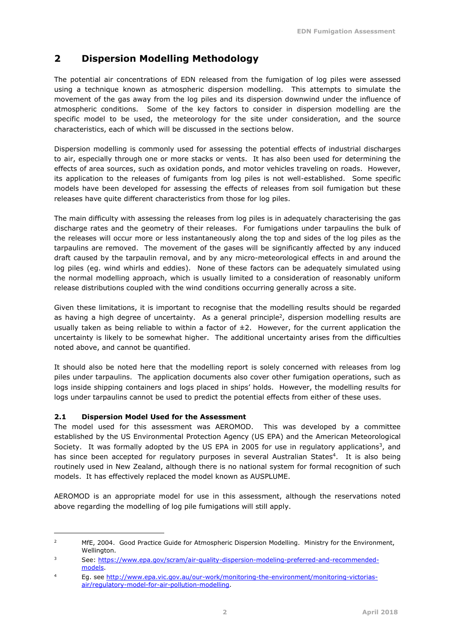# <span id="page-6-0"></span>**2 Dispersion Modelling Methodology**

The potential air concentrations of EDN released from the fumigation of log piles were assessed using a technique known as atmospheric dispersion modelling. This attempts to simulate the movement of the gas away from the log piles and its dispersion downwind under the influence of atmospheric conditions. Some of the key factors to consider in dispersion modelling are the specific model to be used, the meteorology for the site under consideration, and the source characteristics, each of which will be discussed in the sections below.

Dispersion modelling is commonly used for assessing the potential effects of industrial discharges to air, especially through one or more stacks or vents. It has also been used for determining the effects of area sources, such as oxidation ponds, and motor vehicles traveling on roads. However, its application to the releases of fumigants from log piles is not well-established. Some specific models have been developed for assessing the effects of releases from soil fumigation but these releases have quite different characteristics from those for log piles.

The main difficulty with assessing the releases from log piles is in adequately characterising the gas discharge rates and the geometry of their releases. For fumigations under tarpaulins the bulk of the releases will occur more or less instantaneously along the top and sides of the log piles as the tarpaulins are removed. The movement of the gases will be significantly affected by any induced draft caused by the tarpaulin removal, and by any micro-meteorological effects in and around the log piles (eg. wind whirls and eddies). None of these factors can be adequately simulated using the normal modelling approach, which is usually limited to a consideration of reasonably uniform release distributions coupled with the wind conditions occurring generally across a site.

Given these limitations, it is important to recognise that the modelling results should be regarded as having a high degree of uncertainty. As a general principle<sup>[2](#page-6-2)</sup>, dispersion modelling results are usually taken as being reliable to within a factor of  $\pm 2$ . However, for the current application the uncertainty is likely to be somewhat higher. The additional uncertainty arises from the difficulties noted above, and cannot be quantified.

It should also be noted here that the modelling report is solely concerned with releases from log piles under tarpaulins. The application documents also cover other fumigation operations, such as logs inside shipping containers and logs placed in ships' holds. However, the modelling results for logs under tarpaulins cannot be used to predict the potential effects from either of these uses.

# <span id="page-6-1"></span>**2.1 Dispersion Model Used for the Assessment**

The model used for this assessment was AEROMOD. This was developed by a committee established by the US Environmental Protection Agency (US EPA) and the American Meteorological Society. It was formally adopted by the US EPA in 2005 for use in regulatory applications<sup>[3](#page-6-3)</sup>, and has since been accepted for regulatory purposes in several Australian States<sup>[4](#page-6-4)</sup>. It is also being routinely used in New Zealand, although there is no national system for formal recognition of such models. It has effectively replaced the model known as AUSPLUME.

AEROMOD is an appropriate model for use in this assessment, although the reservations noted above regarding the modelling of log pile fumigations will still apply.

<span id="page-6-2"></span><sup>&</sup>lt;sup>2</sup> MfE, 2004. Good Practice Guide for Atmospheric Dispersion Modelling. Ministry for the Environment, Wellington.

<span id="page-6-3"></span><sup>3</sup> See: https://www.epa.gov/scram/air-quality-dispersion-modeling-preferred-and-recommendedmodels.

<span id="page-6-4"></span><sup>4</sup> Eg. see http://www.epa.vic.gov.au/our-work/monitoring-the-environment/monitoring-victoriasair/regulatory-model-for-air-pollution-modelling.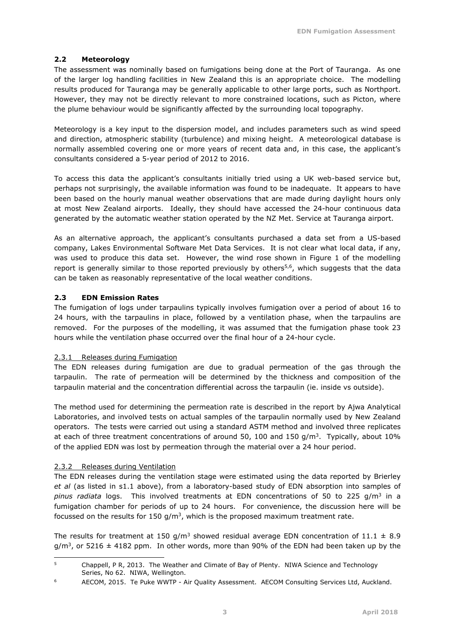#### <span id="page-7-0"></span>**2.2 Meteorology**

The assessment was nominally based on fumigations being done at the Port of Tauranga. As one of the larger log handling facilities in New Zealand this is an appropriate choice. The modelling results produced for Tauranga may be generally applicable to other large ports, such as Northport. However, they may not be directly relevant to more constrained locations, such as Picton, where the plume behaviour would be significantly affected by the surrounding local topography.

Meteorology is a key input to the dispersion model, and includes parameters such as wind speed and direction, atmospheric stability (turbulence) and mixing height. A meteorological database is normally assembled covering one or more years of recent data and, in this case, the applicant's consultants considered a 5-year period of 2012 to 2016.

To access this data the applicant's consultants initially tried using a UK web-based service but, perhaps not surprisingly, the available information was found to be inadequate. It appears to have been based on the hourly manual weather observations that are made during daylight hours only at most New Zealand airports. Ideally, they should have accessed the 24-hour continuous data generated by the automatic weather station operated by the NZ Met. Service at Tauranga airport.

As an alternative approach, the applicant's consultants purchased a data set from a US-based company, Lakes Environmental Software Met Data Services. It is not clear what local data, if any, was used to produce this data set. However, the wind rose shown in Figure 1 of the modelling report is generally similar to those reported previously by others<sup>[5,](#page-7-2)[6](#page-7-3)</sup>, which suggests that the data can be taken as reasonably representative of the local weather conditions.

#### <span id="page-7-1"></span>**2.3 EDN Emission Rates**

The fumigation of logs under tarpaulins typically involves fumigation over a period of about 16 to 24 hours, with the tarpaulins in place, followed by a ventilation phase, when the tarpaulins are removed. For the purposes of the modelling, it was assumed that the fumigation phase took 23 hours while the ventilation phase occurred over the final hour of a 24-hour cycle.

#### 2.3.1 Releases during Fumigation

The EDN releases during fumigation are due to gradual permeation of the gas through the tarpaulin. The rate of permeation will be determined by the thickness and composition of the tarpaulin material and the concentration differential across the tarpaulin (ie. inside vs outside).

The method used for determining the permeation rate is described in the report by Ajwa Analytical Laboratories, and involved tests on actual samples of the tarpaulin normally used by New Zealand operators. The tests were carried out using a standard ASTM method and involved three replicates at each of three treatment concentrations of around 50, 100 and 150  $g/m<sup>3</sup>$ . Typically, about 10% of the applied EDN was lost by permeation through the material over a 24 hour period.

## 2.3.2 Releases during Ventilation

The EDN releases during the ventilation stage were estimated using the data reported by Brierley *et al* (as listed in s1.1 above), from a laboratory-based study of EDN absorption into samples of pinus radiata logs. This involved treatments at EDN concentrations of 50 to 225 g/m<sup>3</sup> in a fumigation chamber for periods of up to 24 hours. For convenience, the discussion here will be focussed on the results for 150  $g/m<sup>3</sup>$ , which is the proposed maximum treatment rate.

The results for treatment at 150 g/m<sup>3</sup> showed residual average EDN concentration of 11.1  $\pm$  8.9  $g/m<sup>3</sup>$ , or 5216  $\pm$  4182 ppm. In other words, more than 90% of the EDN had been taken up by the

<span id="page-7-2"></span><sup>5</sup> Chappell, P R, 2013. The Weather and Climate of Bay of Plenty. NIWA Science and Technology Series, No 62. NIWA, Wellington.

<span id="page-7-3"></span><sup>6</sup> AECOM, 2015. Te Puke WWTP - Air Quality Assessment. AECOM Consulting Services Ltd, Auckland.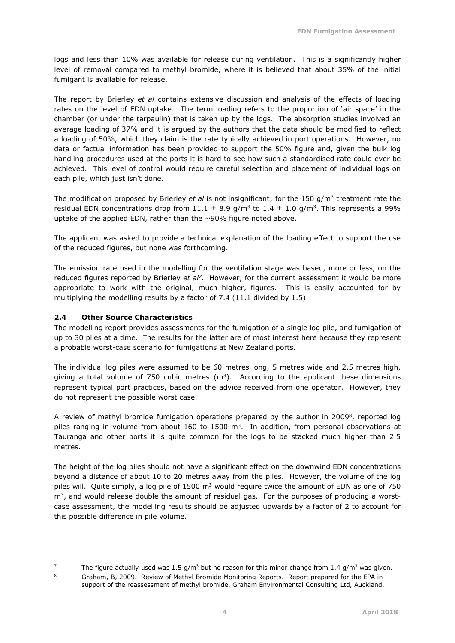logs and less than 10% was available for release during ventilation. This is a significantly higher level of removal compared to methyl bromide, where it is believed that about 35% of the initial fumigant is available for release.

The report by Brierley *et al* contains extensive discussion and analysis of the effects of loading rates on the level of EDN uptake. The term loading refers to the proportion of 'air space' in the chamber (or under the tarpaulin) that is taken up by the logs. The absorption studies involved an average loading of 37% and it is argued by the authors that the data should be modified to reflect a loading of 50%, which they claim is the rate typically achieved in port operations. However, no data or factual information has been provided to support the 50% figure and, given the bulk log handling procedures used at the ports it is hard to see how such a standardised rate could ever be achieved. This level of control would require careful selection and placement of individual logs on each pile, which just isn't done.

The modification proposed by Brierley *et al* is not insignificant; for the 150 g/m<sup>3</sup> treatment rate the residual EDN concentrations drop from  $11.1 \pm 8.9$  g/m<sup>3</sup> to  $1.4 \pm 1.0$  g/m<sup>3</sup>. This represents a 99% uptake of the applied EDN, rather than the  $\sim$ 90% figure noted above.

The applicant was asked to provide a technical explanation of the loading effect to support the use of the reduced figures, but none was forthcoming.

The emission rate used in the modelling for the ventilation stage was based, more or less, on the reduced figures reported by Brierley *et al[7](#page-8-1)* . However, for the current assessment it would be more appropriate to work with the original, much higher, figures. This is easily accounted for by multiplying the modelling results by a factor of 7.4 (11.1 divided by 1.5).

#### <span id="page-8-0"></span>**2.4 Other Source Characteristics**

The modelling report provides assessments for the fumigation of a single log pile, and fumigation of up to 30 piles at a time. The results for the latter are of most interest here because they represent a probable worst-case scenario for fumigations at New Zealand ports.

The individual log piles were assumed to be 60 metres long, 5 metres wide and 2.5 metres high, giving a total volume of 750 cubic metres  $(m<sup>3</sup>)$ . According to the applicant these dimensions represent typical port practices, based on the advice received from one operator. However, they do not represent the possible worst case.

A review of methyl bromide fumigation operations prepared by the author in 2009<sup>8</sup>[,](#page-8-2) reported log piles ranging in volume from about 160 to 1500  $m<sup>3</sup>$ . In addition, from personal observations at Tauranga and other ports it is quite common for the logs to be stacked much higher than 2.5 metres.

The height of the log piles should not have a significant effect on the downwind EDN concentrations beyond a distance of about 10 to 20 metres away from the piles. However, the volume of the log piles will. Quite simply, a log pile of 1500  $m<sup>3</sup>$  would require twice the amount of EDN as one of 750 m<sup>3</sup>, and would release double the amount of residual gas. For the purposes of producing a worstcase assessment, the modelling results should be adjusted upwards by a factor of 2 to account for this possible difference in pile volume.

<span id="page-8-1"></span><sup>&</sup>lt;sup>7</sup> The figure actually used was 1.5 g/m<sup>3</sup> but no reason for this minor change from 1.4 g/m<sup>3</sup> was given.

<span id="page-8-2"></span><sup>&</sup>lt;sup>8</sup> Graham, B, 2009. Review of Methyl Bromide Monitoring Reports. Report prepared for the EPA in support of the reassessment of methyl bromide, Graham Environmental Consulting Ltd, Auckland.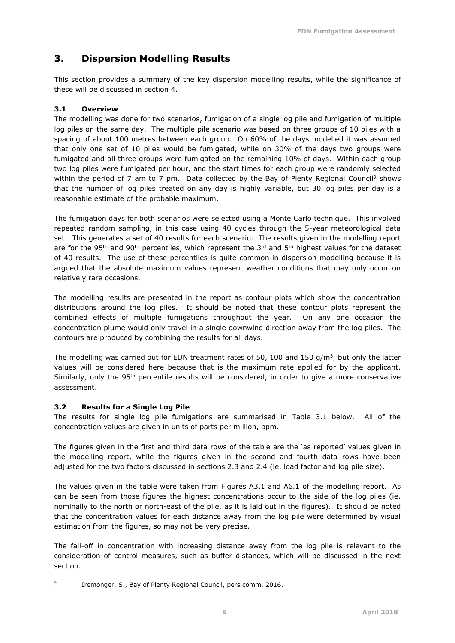# <span id="page-9-0"></span>**3. Dispersion Modelling Results**

This section provides a summary of the key dispersion modelling results, while the significance of these will be discussed in section 4.

# <span id="page-9-1"></span>**3.1 Overview**

The modelling was done for two scenarios, fumigation of a single log pile and fumigation of multiple log piles on the same day. The multiple pile scenario was based on three groups of 10 piles with a spacing of about 100 metres between each group. On 60% of the days modelled it was assumed that only one set of 10 piles would be fumigated, while on 30% of the days two groups were fumigated and all three groups were fumigated on the remaining 10% of days. Within each group two log piles were fumigated per hour, and the start times for each group were randomly selected within the period of 7 am to 7 pm. Data collected by the Bay of Plenty Regional Council<sup>[9](#page-9-3)</sup> shows that the number of log piles treated on any day is highly variable, but 30 log piles per day is a reasonable estimate of the probable maximum.

The fumigation days for both scenarios were selected using a Monte Carlo technique. This involved repeated random sampling, in this case using 40 cycles through the 5-year meteorological data set. This generates a set of 40 results for each scenario. The results given in the modelling report are for the 95<sup>th</sup> and 90<sup>th</sup> percentiles, which represent the 3<sup>rd</sup> and 5<sup>th</sup> highest values for the dataset of 40 results. The use of these percentiles is quite common in dispersion modelling because it is argued that the absolute maximum values represent weather conditions that may only occur on relatively rare occasions.

The modelling results are presented in the report as contour plots which show the concentration distributions around the log piles. It should be noted that these contour plots represent the combined effects of multiple fumigations throughout the year. On any one occasion the concentration plume would only travel in a single downwind direction away from the log piles. The contours are produced by combining the results for all days.

The modelling was carried out for EDN treatment rates of 50, 100 and 150  $g/m<sup>3</sup>$ , but only the latter values will be considered here because that is the maximum rate applied for by the applicant. Similarly, only the 95<sup>th</sup> percentile results will be considered, in order to give a more conservative assessment.

## <span id="page-9-2"></span>**3.2 Results for a Single Log Pile**

The results for single log pile fumigations are summarised in Table 3.1 below. All of the concentration values are given in units of parts per million, ppm.

The figures given in the first and third data rows of the table are the 'as reported' values given in the modelling report, while the figures given in the second and fourth data rows have been adjusted for the two factors discussed in sections 2.3 and 2.4 (ie. load factor and log pile size).

The values given in the table were taken from Figures A3.1 and A6.1 of the modelling report. As can be seen from those figures the highest concentrations occur to the side of the log piles (ie. nominally to the north or north-east of the pile, as it is laid out in the figures). It should be noted that the concentration values for each distance away from the log pile were determined by visual estimation from the figures, so may not be very precise.

The fall-off in concentration with increasing distance away from the log pile is relevant to the consideration of control measures, such as buffer distances, which will be discussed in the next section.

<span id="page-9-3"></span>9

Iremonger, S., Bay of Plenty Regional Council, pers comm, 2016.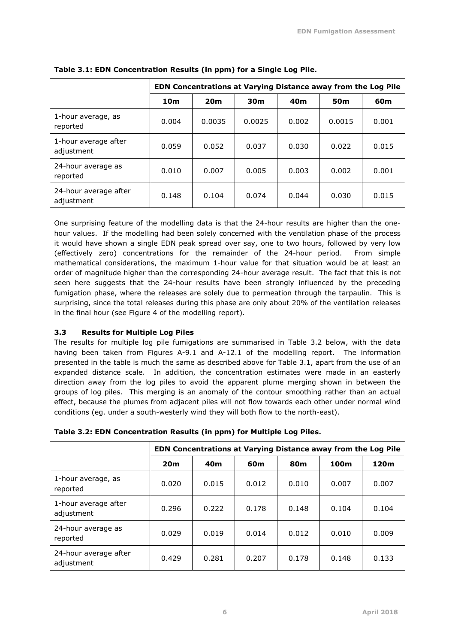|                                     | EDN Concentrations at Varying Distance away from the Log Pile |                 |                 |       |                 |       |
|-------------------------------------|---------------------------------------------------------------|-----------------|-----------------|-------|-----------------|-------|
|                                     | 10 <sub>m</sub>                                               | 20 <sub>m</sub> | 30 <sub>m</sub> | 40m   | 50 <sub>m</sub> | 60m   |
| 1-hour average, as<br>reported      | 0.004                                                         | 0.0035          | 0.0025          | 0.002 | 0.0015          | 0.001 |
| 1-hour average after<br>adjustment  | 0.059                                                         | 0.052           | 0.037           | 0.030 | 0.022           | 0.015 |
| 24-hour average as<br>reported      | 0.010                                                         | 0.007           | 0.005           | 0.003 | 0.002           | 0.001 |
| 24-hour average after<br>adjustment | 0.148                                                         | 0.104           | 0.074           | 0.044 | 0.030           | 0.015 |

## **Table 3.1: EDN Concentration Results (in ppm) for a Single Log Pile.**

One surprising feature of the modelling data is that the 24-hour results are higher than the onehour values. If the modelling had been solely concerned with the ventilation phase of the process it would have shown a single EDN peak spread over say, one to two hours, followed by very low (effectively zero) concentrations for the remainder of the 24-hour period. From simple mathematical considerations, the maximum 1-hour value for that situation would be at least an order of magnitude higher than the corresponding 24-hour average result. The fact that this is not seen here suggests that the 24-hour results have been strongly influenced by the preceding fumigation phase, where the releases are solely due to permeation through the tarpaulin. This is surprising, since the total releases during this phase are only about 20% of the ventilation releases in the final hour (see Figure 4 of the modelling report).

## <span id="page-10-0"></span>**3.3 Results for Multiple Log Piles**

The results for multiple log pile fumigations are summarised in Table 3.2 below, with the data having been taken from Figures A-9.1 and A-12.1 of the modelling report. The information presented in the table is much the same as described above for Table 3.1, apart from the use of an expanded distance scale. In addition, the concentration estimates were made in an easterly direction away from the log piles to avoid the apparent plume merging shown in between the groups of log piles. This merging is an anomaly of the contour smoothing rather than an actual effect, because the plumes from adjacent piles will not flow towards each other under normal wind conditions (eg. under a south-westerly wind they will both flow to the north-east).

|                                     | EDN Concentrations at Varying Distance away from the Log Pile |       |       |       |       |       |
|-------------------------------------|---------------------------------------------------------------|-------|-------|-------|-------|-------|
|                                     | 20 <sub>m</sub>                                               | 40m   | 60m   | 80m   | 100m  | 120m  |
| 1-hour average, as<br>reported      | 0.020                                                         | 0.015 | 0.012 | 0.010 | 0.007 | 0.007 |
| 1-hour average after<br>adjustment  | 0.296                                                         | 0.222 | 0.178 | 0.148 | 0.104 | 0.104 |
| 24-hour average as<br>reported      | 0.029                                                         | 0.019 | 0.014 | 0.012 | 0.010 | 0.009 |
| 24-hour average after<br>adjustment | 0.429                                                         | 0.281 | 0.207 | 0.178 | 0.148 | 0.133 |

**Table 3.2: EDN Concentration Results (in ppm) for Multiple Log Piles.**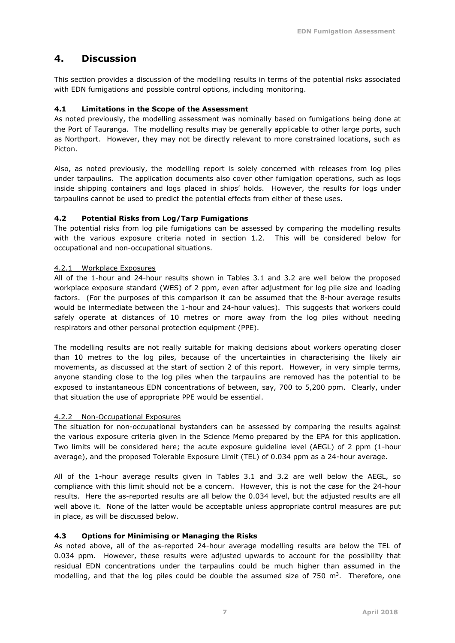# <span id="page-11-0"></span>**4. Discussion**

This section provides a discussion of the modelling results in terms of the potential risks associated with EDN fumigations and possible control options, including monitoring.

## <span id="page-11-1"></span>**4.1 Limitations in the Scope of the Assessment**

As noted previously, the modelling assessment was nominally based on fumigations being done at the Port of Tauranga. The modelling results may be generally applicable to other large ports, such as Northport. However, they may not be directly relevant to more constrained locations, such as Picton.

Also, as noted previously, the modelling report is solely concerned with releases from log piles under tarpaulins. The application documents also cover other fumigation operations, such as logs inside shipping containers and logs placed in ships' holds. However, the results for logs under tarpaulins cannot be used to predict the potential effects from either of these uses.

## <span id="page-11-2"></span>**4.2 Potential Risks from Log/Tarp Fumigations**

The potential risks from log pile fumigations can be assessed by comparing the modelling results with the various exposure criteria noted in section 1.2. This will be considered below for occupational and non-occupational situations.

## 4.2.1 Workplace Exposures

All of the 1-hour and 24-hour results shown in Tables 3.1 and 3.2 are well below the proposed workplace exposure standard (WES) of 2 ppm, even after adjustment for log pile size and loading factors. (For the purposes of this comparison it can be assumed that the 8-hour average results would be intermediate between the 1-hour and 24-hour values). This suggests that workers could safely operate at distances of 10 metres or more away from the log piles without needing respirators and other personal protection equipment (PPE).

The modelling results are not really suitable for making decisions about workers operating closer than 10 metres to the log piles, because of the uncertainties in characterising the likely air movements, as discussed at the start of section 2 of this report. However, in very simple terms, anyone standing close to the log piles when the tarpaulins are removed has the potential to be exposed to instantaneous EDN concentrations of between, say, 700 to 5,200 ppm. Clearly, under that situation the use of appropriate PPE would be essential.

## 4.2.2 Non-Occupational Exposures

The situation for non-occupational bystanders can be assessed by comparing the results against the various exposure criteria given in the Science Memo prepared by the EPA for this application. Two limits will be considered here; the acute exposure guideline level (AEGL) of 2 ppm (1-hour average), and the proposed Tolerable Exposure Limit (TEL) of 0.034 ppm as a 24-hour average.

All of the 1-hour average results given in Tables 3.1 and 3.2 are well below the AEGL, so compliance with this limit should not be a concern. However, this is not the case for the 24-hour results. Here the as-reported results are all below the 0.034 level, but the adjusted results are all well above it. None of the latter would be acceptable unless appropriate control measures are put in place, as will be discussed below.

## <span id="page-11-3"></span>**4.3 Options for Minimising or Managing the Risks**

As noted above, all of the as-reported 24-hour average modelling results are below the TEL of 0.034 ppm. However, these results were adjusted upwards to account for the possibility that residual EDN concentrations under the tarpaulins could be much higher than assumed in the modelling, and that the log piles could be double the assumed size of 750  $m^3$ . Therefore, one